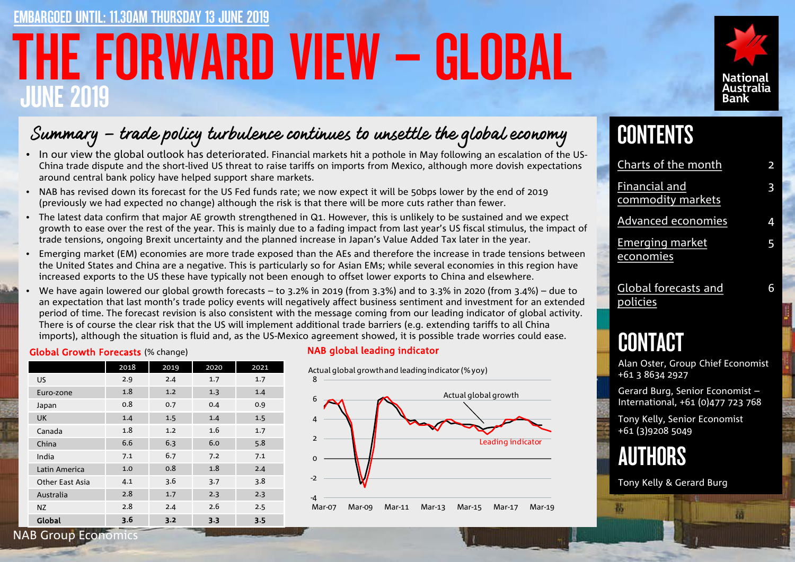# THE FORWARD VIEW – GLOBAL JUNE 2019 RGOED UNTIL: 11.30AM THURSDAY 13 JUNE 2019



## Summary – trade policy turbulence continues to unsettle the global economy

- In our view the global outlook has deteriorated. Financial markets hit a pothole in May following an escalation of the US-China trade dispute and the short-lived US threat to raise tariffs on imports from Mexico, although more dovish expectations around central bank policy have helped support share markets.
- NAB has revised down its forecast for the US Fed funds rate; we now expect it will be 50bps lower by the end of 2019 (previously we had expected no change) although the risk is that there will be more cuts rather than fewer.
- The latest data confirm that major AE growth strengthened in Q1. However, this is unlikely to be sustained and we expect growth to ease over the rest of the year. This is mainly due to a fading impact from last year's US fiscal stimulus, the impact of trade tensions, ongoing Brexit uncertainty and the planned increase in Japan's Value Added Tax later in the year.
- Emerging market (EM) economies are more trade exposed than the AEs and therefore the increase in trade tensions between the United States and China are a negative. This is particularly so for Asian EMs; while several economies in this region have increased exports to the US these have typically not been enough to offset lower exports to China and elsewhere.
- We have again lowered our global growth forecasts to 3.2% in 2019 (from 3.3%) and to 3.3% in 2020 (from 3.4%) due to an expectation that last month's trade policy events will negatively affect business sentiment and investment for an extended period of time. The forecast revision is also consistent with the message coming from our leading indicator of global activity. There is of course the clear risk that the US will implement additional trade barriers (e.g. extending tariffs to all China imports), although the situation is fluid and, as the US-Mexico agreement showed, it is possible trade worries could ease.

### Global Growth Forecasts (% change) NAB global leading indicator

|                 | 2018 | 2019 | 2020 | 2021 |
|-----------------|------|------|------|------|
| US.             | 2.9  | 2.4  | 1.7  | 1.7  |
| Euro-zone       | 1.8  | 1.2  | 1.3  | 1.4  |
| Japan           | 0.8  | 0.7  | 0.4  | 0.9  |
| UK              | 1.4  | 1.5  | 1.4  | 1.5  |
| Canada          | 1.8  | 1.2  | 1.6  | 1.7  |
| China           | 6.6  | 6.3  | 6.0  | 5.8  |
| India           | 7.1  | 6.7  | 7.2  | 7.1  |
| Latin America   | 1.0  | 0.8  | 1.8  | 2.4  |
| Other East Asia | 4.1  | 3.6  | 3.7  | 3.8  |
| Australia       | 2.8  | 1.7  | 2.3  | 2.3  |
| ΝZ              | 2.8  | 2.4  | 2.6  | 2.5  |
| Global          | 3.6  | 3.2  | 3.3  | 3.5  |



## **CONTENTS**

| Charts of the month                 | $\overline{\mathbf{c}}$ |
|-------------------------------------|-------------------------|
| Financial and<br>commodity markets  | 3                       |
| Advanced economies                  | 4                       |
| <b>Emerging market</b><br>economies | 5                       |
| Global forecasts and<br>policies    | 6                       |

## CONTACT

Alan Oster, Group Chief Economist +61 3 8634 2927

Gerard Burg, Senior Economist – International, +61 (0)477 723 768

Tony Kelly, Senior Economist +61 (3)9208 5049



翡

Tony Kelly & Gerard Burg

图

NAB Group Economics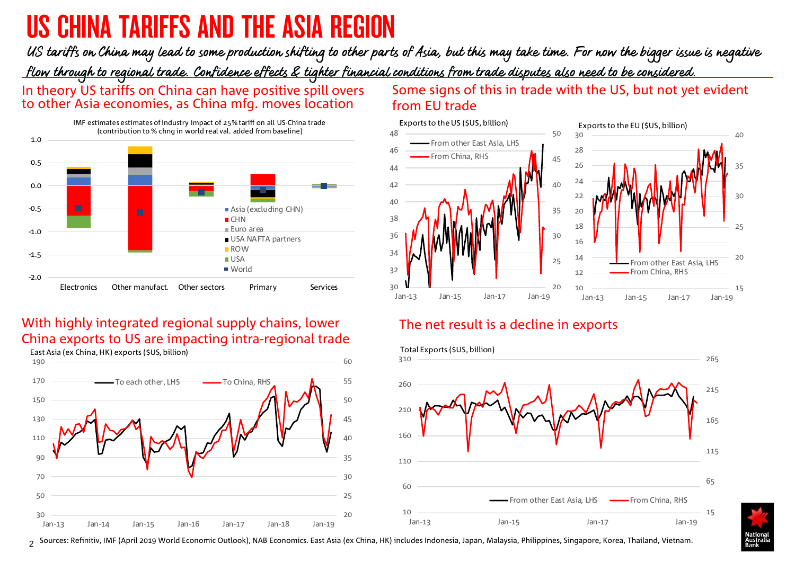# <span id="page-1-0"></span>US CHINA TARIFFS AND THE ASIA REGION

US tariffs on China may lead to some production shifting to other parts of Asia, but this may take time. For now the bigger issue is negative flow through to regional trade. Confidence effects & tighter financial conditions from trade disputes also need to be considered.

In theory US tariffs on China can have positive spill overs to other Asia economies, as China mfg. moves location



## With highly integrated regional supply chains, lower China exports to US are impacting intra-regional trade



### Some signs of this in trade with the US, but not yet evident from EU trade



### The net result is a decline in exports



 $_{2}$  Sources: Refinitiv, IMF (April 2019 World Economic Outlook), NAB Economics. East Asia (ex China, HK) includes Indonesia, Japan, Malaysia, Philippines, Singapore, Korea, Thailand, Vietnam.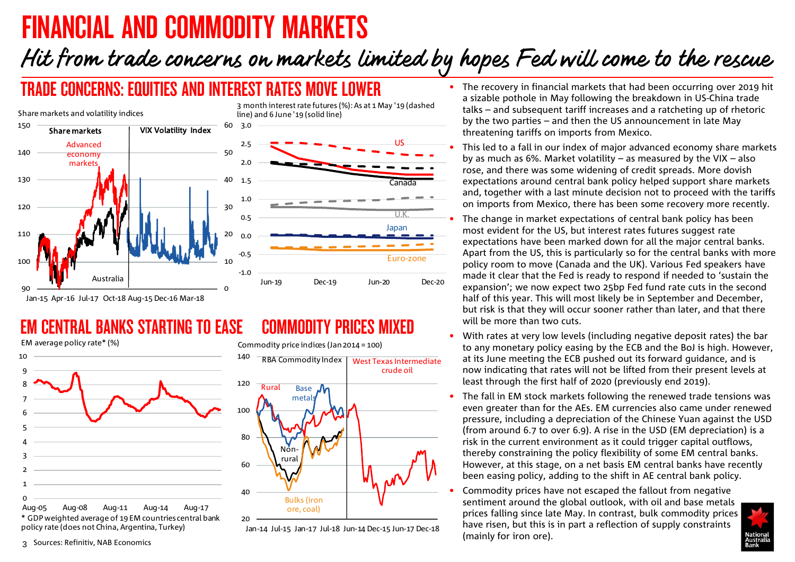# <span id="page-2-0"></span>FINANCIAL AND COMMODITY MARKETS

# Hit from trade concerns on markets limited by hopes Fed will come to the rescue

## TRADE CONCERNS: EQUITIES AND INTEREST RATES MOVE LOWER



### **CENTRAL BANKS STARTING TO EASE** EM average policy rate\* (%)



\* GDP weighted average of 19 EM countries central bank policy rate (does not China, Argentina, Turkey)

## COMMODITY PRICES MIXED



Jan-14 Jul-15 Jan-17 Jul-18 Jun-14 Dec-15 Jun-17 Dec-18

- The recovery in financial markets that had been occurring over 2019 hit a sizable pothole in May following the breakdown in US-China trade talks – and subsequent tariff increases and a ratcheting up of rhetoric by the two parties – and then the US announcement in late May threatening tariffs on imports from Mexico.
- This led to a fall in our index of major advanced economy share markets by as much as 6%. Market volatility – as measured by the VIX – also rose, and there was some widening of credit spreads. More dovish expectations around central bank policy helped support share markets and, together with a last minute decision not to proceed with the tariffs on imports from Mexico, there has been some recovery more recently.
- The change in market expectations of central bank policy has been most evident for the US, but interest rates futures suggest rate expectations have been marked down for all the major central banks. Apart from the US, this is particularly so for the central banks with more policy room to move (Canada and the UK). Various Fed speakers have made it clear that the Fed is ready to respond if needed to 'sustain the expansion'; we now expect two 25bp Fed fund rate cuts in the second half of this year. This will most likely be in September and December, but risk is that they will occur sooner rather than later, and that there will be more than two cuts.
- With rates at very low levels (including negative deposit rates) the bar to any monetary policy easing by the ECB and the BoJ is high. However, at its June meeting the ECB pushed out its forward guidance, and is now indicating that rates will not be lifted from their present levels at least through the first half of 2020 (previously end 2019).
- The fall in EM stock markets following the renewed trade tensions was even greater than for the AEs. EM currencies also came under renewed pressure, including a depreciation of the Chinese Yuan against the USD (from around 6.7 to over 6.9). A rise in the USD (EM depreciation) is a risk in the current environment as it could trigger capital outflows, thereby constraining the policy flexibility of some EM central banks. However, at this stage, on a net basis EM central banks have recently been easing policy, adding to the shift in AE central bank policy.
- Commodity prices have not escaped the fallout from negative sentiment around the global outlook, with oil and base metals prices falling since late May. In contrast, bulk commodity prices have risen, but this is in part a reflection of supply constraints (mainly for iron ore).

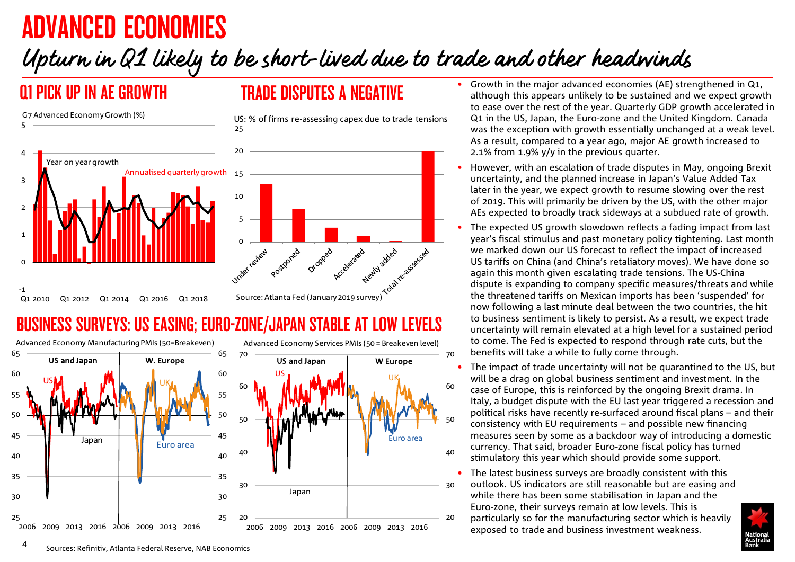# <span id="page-3-0"></span>ADVANCED ECONOMIES

# Upturn in Q1 likely to be short-lived due to trade and other headwinds

## Q1 PICK UP IN AE GROWTH **TRADE DISPUTES A NEGATIVE**



## BUSINESS SURVEYS: US EASING; EURO-ZONE/JAPAN STABLE AT LOW LEVELS



- Growth in the major advanced economies (AE) strengthened in Q1, although this appears unlikely to be sustained and we expect growth to ease over the rest of the year. Quarterly GDP growth accelerated in Q1 in the US, Japan, the Euro-zone and the United Kingdom. Canada was the exception with growth essentially unchanged at a weak level. As a result, compared to a year ago, major AE growth increased to 2.1% from 1.9% y/y in the previous quarter.
- However, with an escalation of trade disputes in May, ongoing Brexit uncertainty, and the planned increase in Japan's Value Added Tax later in the year, we expect growth to resume slowing over the rest of 2019. This will primarily be driven by the US, with the other major AEs expected to broadly track sideways at a subdued rate of growth.
- The expected US growth slowdown reflects a fading impact from last year's fiscal stimulus and past monetary policy tightening. Last month we marked down our US forecast to reflect the impact of increased US tariffs on China (and China's retaliatory moves). We have done so again this month given escalating trade tensions. The US-China dispute is expanding to company specific measures/threats and while the threatened tariffs on Mexican imports has been 'suspended' for now following a last minute deal between the two countries, the hit to business sentiment is likely to persist. As a result, we expect trade uncertainty will remain elevated at a high level for a sustained period to come. The Fed is expected to respond through rate cuts, but the benefits will take a while to fully come through.
- The impact of trade uncertainty will not be quarantined to the US, but will be a drag on global business sentiment and investment. In the case of Europe, this is reinforced by the ongoing Brexit drama. In Italy, a budget dispute with the EU last year triggered a recession and political risks have recently re-surfaced around fiscal plans – and their consistency with EU requirements – and possible new financing measures seen by some as a backdoor way of introducing a domestic currency. That said, broader Euro-zone fiscal policy has turned stimulatory this year which should provide some support.
- The latest business surveys are broadly consistent with this outlook. US indicators are still reasonable but are easing and while there has been some stabilisation in Japan and the Euro-zone, their surveys remain at low levels. This is particularly so for the manufacturing sector which is heavily exposed to trade and business investment weakness.

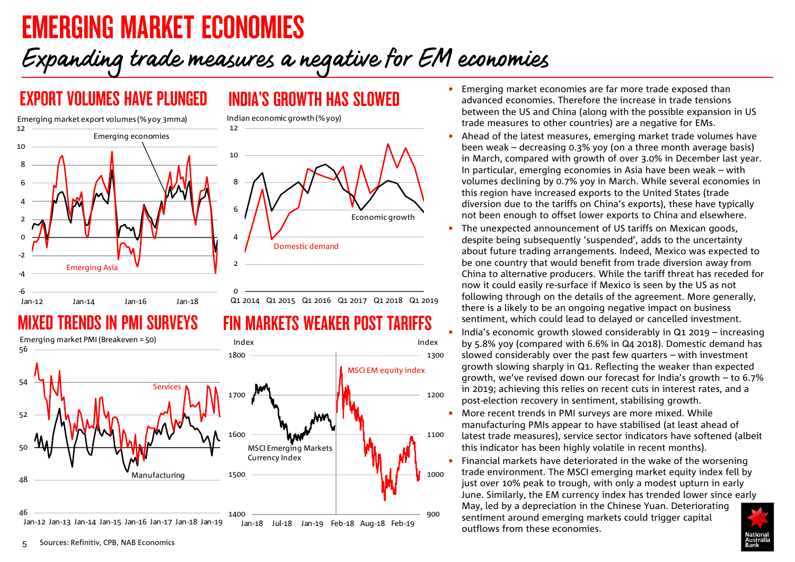# <span id="page-4-0"></span>EMERGING MARKET ECONOMIES

# Expanding trade measures a negative for EM economies

FIN MARKETS WEAKER POST TARIFFS

## EXPORT VOLUMES HAVE PLUNGED INDIA'S GROWTH HAS SLOWED



## TRFNNS IN PMI SIIRVFYS



- Emerging market economies are far more trade exposed than advanced economies. Therefore the increase in trade tensions between the US and China (along with the possible expansion in US trade measures to other countries) are a negative for EMs.
	- Ahead of the latest measures, emerging market trade volumes have been weak – decreasing 0.3% yoy (on a three month average basis) in March, compared with growth of over 3.0% in December last year. In particular, emerging economies in Asia have been weak – with volumes declining by 0.7% yoy in March. While several economies in this region have increased exports to the United States (trade diversion due to the tariffs on China's exports), these have typically not been enough to offset lower exports to China and elsewhere.
	- The unexpected announcement of US tariffs on Mexican goods, despite being subsequently 'suspended', adds to the uncertainty about future trading arrangements. Indeed, Mexico was expected to be one country that would benefit from trade diversion away from China to alternative producers. While the tariff threat has receded for now it could easily re-surface if Mexico is seen by the US as not following through on the details of the agreement. More generally, there is a likely to be an ongoing negative impact on business sentiment, which could lead to delayed or cancelled investment.
	- India's economic growth slowed considerably in Q1 2019 increasing by 5.8% yoy (compared with 6.6% in Q4 2018). Domestic demand has slowed considerably over the past few quarters – with investment growth slowing sharply in Q1. Reflecting the weaker than expected growth, we've revised down our forecast for India's growth – to 6.7% in 2019; achieving this relies on recent cuts in interest rates, and a post-election recovery in sentiment, stabilising growth.
	- More recent trends in PMI surveys are more mixed. While manufacturing PMIs appear to have stabilised (at least ahead of latest trade measures), service sector indicators have softened (albeit this indicator has been highly volatile in recent months).
	- Financial markets have deteriorated in the wake of the worsening trade environment. The MSCI emerging market equity index fell by just over 10% peak to trough, with only a modest upturn in early June. Similarly, the EM currency index has trended lower since early

May, led by a depreciation in the Chinese Yuan. Deteriorating sentiment around emerging markets could trigger capital outflows from these economies.

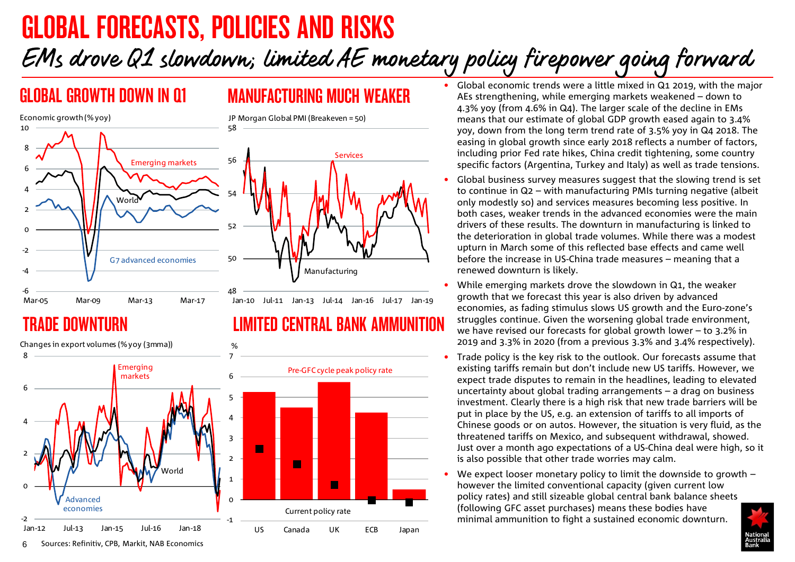# <span id="page-5-0"></span>GLOBAL FORECASTS, POLICIES AND RISKS EMs drove Q1 slowdown; limited AE monetary policy firepower going forward



## TRADE DOWNTURN LIMITED CENTRAL BANK AMMUNITION



## GLOBAL GROWTH DOWN IN Q1 MANUFACTURING MUCH WEAKER

- Global economic trends were a little mixed in Q1 2019, with the major AEs strengthening, while emerging markets weakened – down to 4.3% yoy (from 4.6% in Q4). The larger scale of the decline in EMs means that our estimate of global GDP growth eased again to 3.4% yoy, down from the long term trend rate of 3.5% yoy in Q4 2018. The easing in global growth since early 2018 reflects a number of factors, including prior Fed rate hikes, China credit tightening, some country specific factors (Argentina, Turkey and Italy) as well as trade tensions.
- Global business survey measures suggest that the slowing trend is set to continue in Q2 – with manufacturing PMIs turning negative (albeit only modestly so) and services measures becoming less positive. In both cases, weaker trends in the advanced economies were the main drivers of these results. The downturn in manufacturing is linked to the deterioration in global trade volumes. While there was a modest upturn in March some of this reflected base effects and came well before the increase in US-China trade measures – meaning that a renewed downturn is likely.
- While emerging markets drove the slowdown in Q1, the weaker growth that we forecast this year is also driven by advanced economies, as fading stimulus slows US growth and the Euro-zone's struggles continue. Given the worsening global trade environment, we have revised our forecasts for global growth lower – to 3.2% in 2019 and 3.3% in 2020 (from a previous 3.3% and 3.4% respectively).
- Trade policy is the key risk to the outlook. Our forecasts assume that existing tariffs remain but don't include new US tariffs. However, we expect trade disputes to remain in the headlines, leading to elevated uncertainty about global trading arrangements – a drag on business investment. Clearly there is a high risk that new trade barriers will be put in place by the US, e.g. an extension of tariffs to all imports of Chinese goods or on autos. However, the situation is very fluid, as the threatened tariffs on Mexico, and subsequent withdrawal, showed. Just over a month ago expectations of a US-China deal were high, so it is also possible that other trade worries may calm.
- We expect looser monetary policy to limit the downside to growth  $$ however the limited conventional capacity (given current low policy rates) and still sizeable global central bank balance sheets (following GFC asset purchases) means these bodies have minimal ammunition to fight a sustained economic downturn.